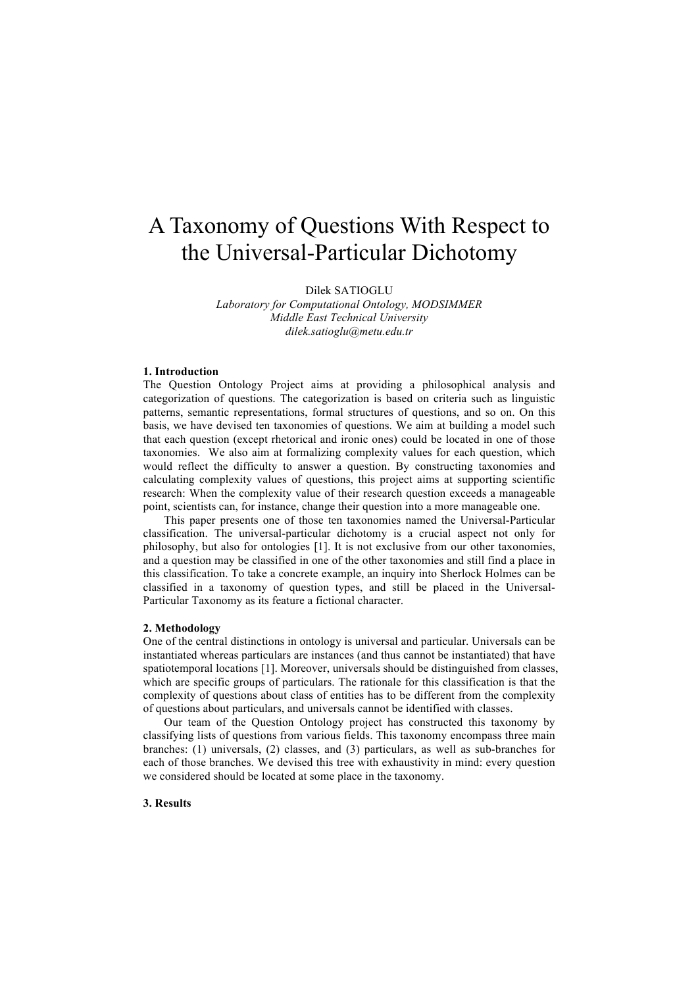# A Taxonomy of Questions With Respect to the Universal-Particular Dichotomy

Dilek SATIOGLU

*Laboratory for Computational Ontology, MODSIMMER Middle East Technical University dilek.satioglu@metu.edu.tr*

### **1. Introduction**

The Question Ontology Project aims at providing a philosophical analysis and categorization of questions. The categorization is based on criteria such as linguistic patterns, semantic representations, formal structures of questions, and so on. On this basis, we have devised ten taxonomies of questions. We aim at building a model such that each question (except rhetorical and ironic ones) could be located in one of those taxonomies. We also aim at formalizing complexity values for each question, which would reflect the difficulty to answer a question. By constructing taxonomies and calculating complexity values of questions, this project aims at supporting scientific research: When the complexity value of their research question exceeds a manageable point, scientists can, for instance, change their question into a more manageable one.

This paper presents one of those ten taxonomies named the Universal-Particular classification. The universal-particular dichotomy is a crucial aspect not only for philosophy, but also for ontologies [1]. It is not exclusive from our other taxonomies, and a question may be classified in one of the other taxonomies and still find a place in this classification. To take a concrete example, an inquiry into Sherlock Holmes can be classified in a taxonomy of question types, and still be placed in the Universal-Particular Taxonomy as its feature a fictional character.

#### **2. Methodology**

One of the central distinctions in ontology is universal and particular. Universals can be instantiated whereas particulars are instances (and thus cannot be instantiated) that have spatiotemporal locations [1]. Moreover, universals should be distinguished from classes, which are specific groups of particulars. The rationale for this classification is that the complexity of questions about class of entities has to be different from the complexity of questions about particulars, and universals cannot be identified with classes.

Our team of the Question Ontology project has constructed this taxonomy by classifying lists of questions from various fields. This taxonomy encompass three main branches: (1) universals, (2) classes, and (3) particulars, as well as sub-branches for each of those branches. We devised this tree with exhaustivity in mind: every question we considered should be located at some place in the taxonomy.

## **3. Results**